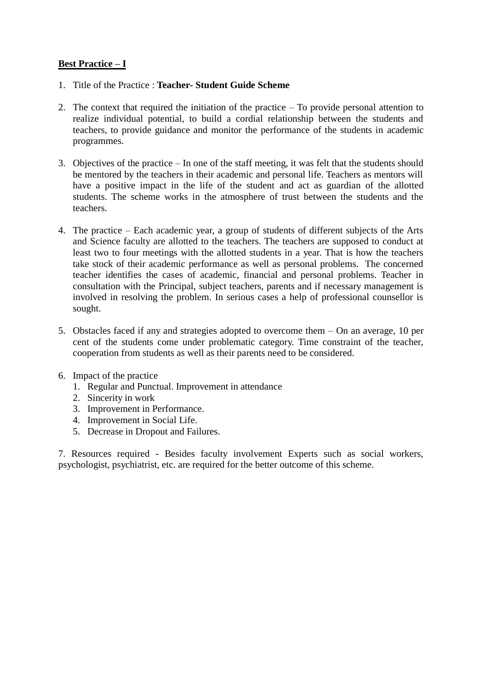## **Best Practice – I**

- 1. Title of the Practice : **Teacher- Student Guide Scheme**
- 2. The context that required the initiation of the practice To provide personal attention to realize individual potential, to build a cordial relationship between the students and teachers, to provide guidance and monitor the performance of the students in academic programmes.
- 3. Objectives of the practice In one of the staff meeting, it was felt that the students should be mentored by the teachers in their academic and personal life. Teachers as mentors will have a positive impact in the life of the student and act as guardian of the allotted students. The scheme works in the atmosphere of trust between the students and the teachers.
- 4. The practice Each academic year, a group of students of different subjects of the Arts and Science faculty are allotted to the teachers. The teachers are supposed to conduct at least two to four meetings with the allotted students in a year. That is how the teachers take stock of their academic performance as well as personal problems. The concerned teacher identifies the cases of academic, financial and personal problems. Teacher in consultation with the Principal, subject teachers, parents and if necessary management is involved in resolving the problem. In serious cases a help of professional counsellor is sought.
- 5. Obstacles faced if any and strategies adopted to overcome them On an average, 10 per cent of the students come under problematic category. Time constraint of the teacher, cooperation from students as well as their parents need to be considered.
- 6. Impact of the practice
	- 1. Regular and Punctual. Improvement in attendance
	- 2. Sincerity in work
	- 3. Improvement in Performance.
	- 4. Improvement in Social Life.
	- 5. Decrease in Dropout and Failures.

7. Resources required - Besides faculty involvement Experts such as social workers, psychologist, psychiatrist, etc. are required for the better outcome of this scheme.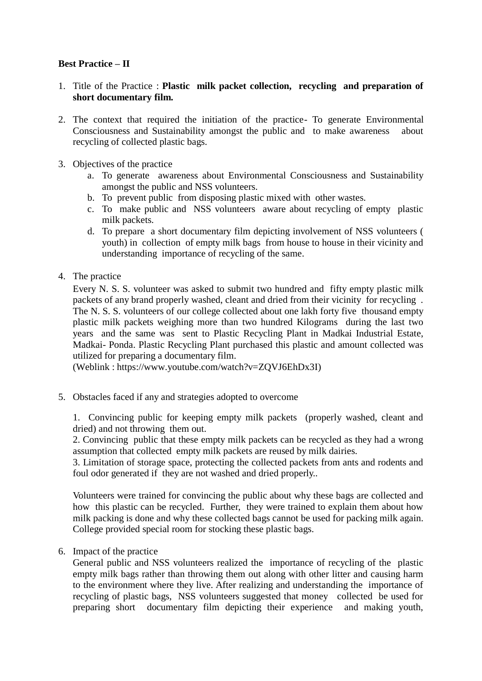## **Best Practice – II**

- 1. Title of the Practice : **Plastic milk packet collection, recycling and preparation of short documentary film.**
- 2. The context that required the initiation of the practice- To generate Environmental Consciousness and Sustainability amongst the public and to make awareness about recycling of collected plastic bags.
- 3. Objectives of the practice
	- a. To generate awareness about Environmental Consciousness and Sustainability amongst the public and NSS volunteers.
	- b. To prevent public from disposing plastic mixed with other wastes.
	- c. To make public and NSS volunteers aware about recycling of empty plastic milk packets.
	- d. To prepare a short documentary film depicting involvement of NSS volunteers ( youth) in collection of empty milk bags from house to house in their vicinity and understanding importance of recycling of the same.
- 4. The practice

Every N. S. S. volunteer was asked to submit two hundred and fifty empty plastic milk packets of any brand properly washed, cleant and dried from their vicinity for recycling . The N. S. S. volunteers of our college collected about one lakh forty five thousand empty plastic milk packets weighing more than two hundred Kilograms during the last two years and the same was sent to Plastic Recycling Plant in Madkai Industrial Estate, Madkai- Ponda. Plastic Recycling Plant purchased this plastic and amount collected was utilized for preparing a documentary film.

(Weblink : https://www.youtube.com/watch?v=ZQVJ6EhDx3I)

5. Obstacles faced if any and strategies adopted to overcome

1. Convincing public for keeping empty milk packets (properly washed, cleant and dried) and not throwing them out.

2. Convincing public that these empty milk packets can be recycled as they had a wrong assumption that collected empty milk packets are reused by milk dairies.

3. Limitation of storage space, protecting the collected packets from ants and rodents and foul odor generated if they are not washed and dried properly..

Volunteers were trained for convincing the public about why these bags are collected and how this plastic can be recycled. Further, they were trained to explain them about how milk packing is done and why these collected bags cannot be used for packing milk again. College provided special room for stocking these plastic bags.

6. Impact of the practice

General public and NSS volunteers realized the importance of recycling of the plastic empty milk bags rather than throwing them out along with other litter and causing harm to the environment where they live. After realizing and understanding the importance of recycling of plastic bags, NSS volunteers suggested that money collected be used for preparing short documentary film depicting their experience and making youth,